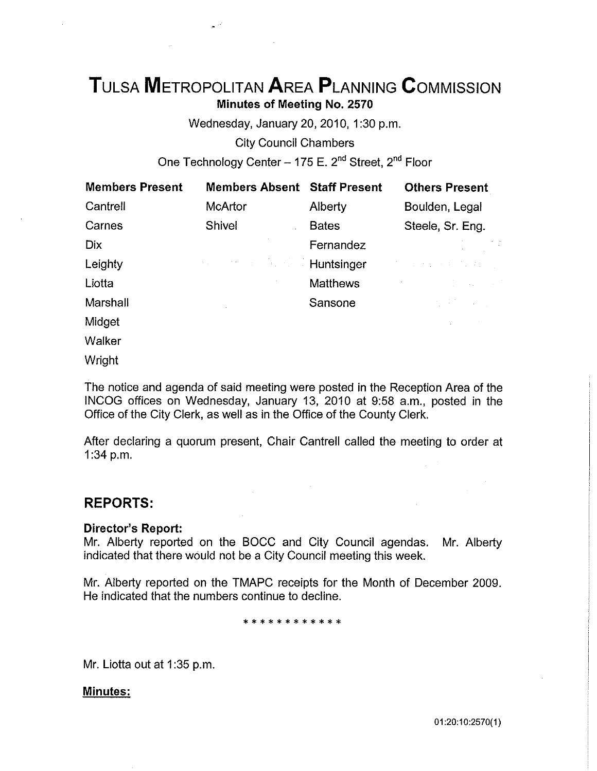# **TuLsA METROPOLITAN AREA PLANNING CoMMISSION Minutes of Meeting No. 2570**

Wednesday, January 20, 2010, 1:30 p.m.

City Council Chambers

One Technology Center - 175 E. 2<sup>nd</sup> Street, 2<sup>nd</sup> Floor

| <b>Members Present</b> | <b>Members Absent Staff Present</b> |                 | <b>Others Present</b>                                                                                                                                                                        |
|------------------------|-------------------------------------|-----------------|----------------------------------------------------------------------------------------------------------------------------------------------------------------------------------------------|
| Cantrell               | McArtor                             | Alberty         | Boulden, Legal                                                                                                                                                                               |
| Carnes                 | Shivel                              | <b>Bates</b>    | Steele, Sr. Eng.                                                                                                                                                                             |
| <b>Dix</b>             |                                     | Fernandez       |                                                                                                                                                                                              |
| Leighty                | <b>スパート コード・デート</b>                 | Huntsinger      | 医心室 医无头耳 医血管炎                                                                                                                                                                                |
| Liotta                 |                                     | <b>Matthews</b> | $\label{eq:2.1} \mathcal{L}=\frac{1}{2}\left(\frac{1}{2}\right)^{2}+\frac{1}{2}\left(\frac{1}{2}\right)^{2}+\frac{1}{2}\left(\frac{1}{2}\right)^{2}+\frac{1}{2}\left(\frac{1}{2}\right)^{2}$ |
| Marshall               |                                     | Sansone         |                                                                                                                                                                                              |
| Midget                 |                                     |                 |                                                                                                                                                                                              |
| Walker                 |                                     |                 |                                                                                                                                                                                              |
| Wright                 |                                     |                 |                                                                                                                                                                                              |

The notice and agenda of said meeting were posted in the Reception Area of the INCOG offices on Wednesday, January 13, 2010 at 9:58 a.m., posted in the Office of the City Clerk, as well as in the Office of the County Clerk.

After declaring a quorum present, Chair Cantrell called the meeting to order at 1:34 p.m.

# **REPORTS:**

## **Director's Report:**

Mr. Alberty reported on the BOCC and City Council agendas. Mr. Alberty indicated that there would not be a City Council meeting this week.

Mr. Alberty reported on the TMAPC receipts for the Month of December 2009. He indicated that the numbers continue to decline.

\*\*\*\*\*\*\*\*\*\*

Mr. Liotta out at 1:35 p.m.

## **Minutes:**

01 :20:10:2570(1)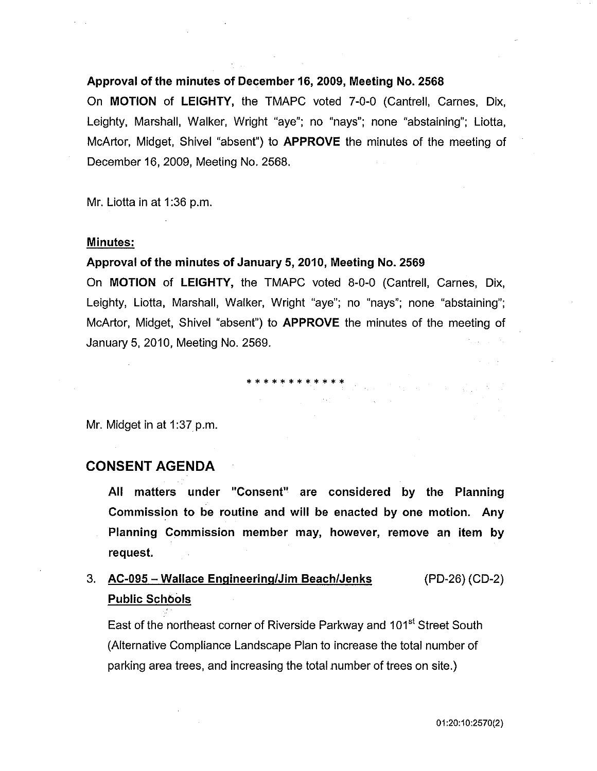## Approval of the minutes of December 16, 2009, Meeting No. 2568

On MOTION of LEIGHTY, the TMAPC voted 7-0-0 (Cantrell, Carnes, Dix, Leighty, Marshall, Walker, Wright "aye"; no "nays"; none "abstaining"; Liotta, McArtor, Midget, Shivel "absent") to APPROVE the minutes of the meeting of December 16, 2009, Meeting No. 2568.

Mr. Liotta in at 1:36 p.m.

### Minutes:

## Approval of the minutes of January 5, 2010, Meeting No. 2569

On MOTION of LEIGHTY, the TMAPC voted 8-0-0 (Cantrell, Carnes, Dix, Leighty, Liotta, Marshall, Walker, Wright "aye"; no "nays"; none "abstaining"; McArtor, Midget, Shivel "absent") to APPROVE the minutes of the meeting of January 5, 2010, Meeting No. 2569.

\* \* \* \* \* \* \* \* \* \* \* \*

Mr. Midget in at 1:37 p.m.

## CONSENT AGENDA

All matters under "Consent" are considered by the Planning Commission to be routine and will be enacted by one motion. Any Planning Commission member may, however, remove an item by request.

#### 3. AC-095 -Wallace Engineering/Jim Beach/Jenks Public Schools (PD-26) (CD-2)

East of the northeast corner of Riverside Parkway and 101<sup>st</sup> Street South (Alternative Compliance Landscape Plan to increase the total number of parking area trees, and increasing the total number of trees on site.)

01 :20:10:2570(2}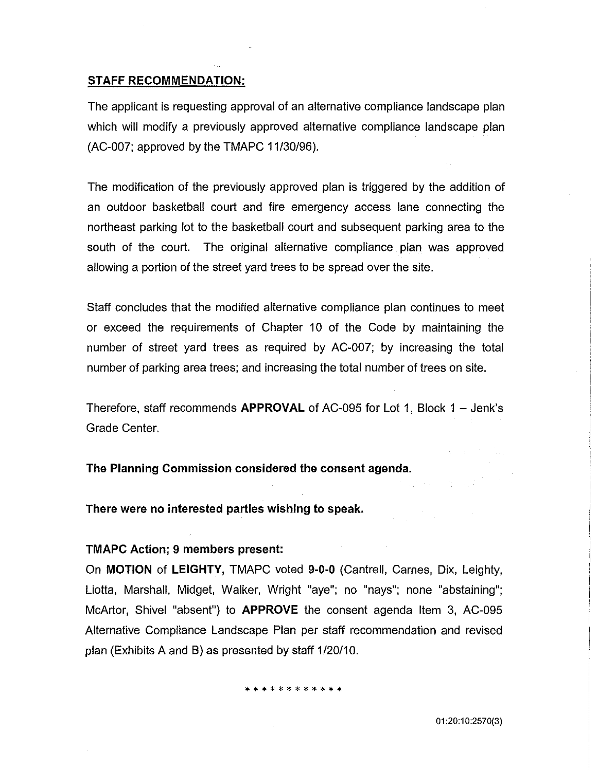### **STAFF RECOMMENDATION:**

The applicant is requesting approval of an alternative compliance landscape plan which will modify a previously approved alternative compliance landscape plan (AC-007; approved by the TMAPC 11/30/96).

The modification of the previously approved plan is triggered by the addition of an outdoor basketball court and fire emergency access lane connecting the northeast parking lot to the basketball court and subsequent parking area to the south of the court. The original alternative compliance plan was approved allowing a portion of the street yard trees to be spread over the site.

Staff concludes that the modified alternative compliance plan continues to meet or exceed the requirements of Chapter 10 of the Code by maintaining the number of street yard trees as required by AC-007; by increasing the total number of parking area trees; and increasing the total number of trees on site.

Therefore, staff recommends **APPROVAL** of AC-095 for Lot 1, Block 1 - Jenk's Grade Center.

**The Planning Commission considered the consent agenda.** 

**There were no interested parties wishing to speak.** 

### **TMAPC Action; 9 members present:**

On **MOTION of LEIGHTY,** TMAPC voted **9-0-0** (Cantrell, Carnes, Dix, Leighty, Liotta, Marshall, Midget, Walker, Wright "aye"; no "nays"; none "abstaining"; McArtor, Shive! "absent") to **APPROVE** the consent agenda Item 3, AC-095 Alternative Compliance Landscape Plan per staff recommendation and revised plan (Exhibits A and B) as presented by staff 1/20/10.

#### \* \* \* \* \* \* \* \* \* \*

01 :20:1 0:2570(3)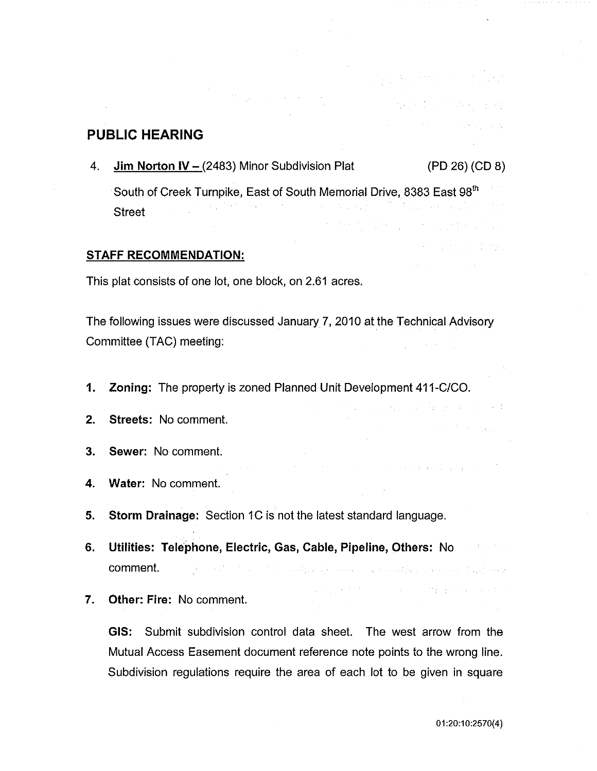## **PUBLIC HEARING**

4. **Jim Norton IV-** (2483) Minor Subdivision Plat (PD 26) (CD 8)

South of Creek Turnpike, East of South Memorial Drive, 8383 East 98<sup>th</sup> **Street** at the process of properties and

### **STAFF RECOMMENDATION:**

This plat consists of one lot, one block, on 2.61 acres.

The following issues were discussed January 7, 2010 at the Technical Advisory Committee (TAC) meeting:

- **1. Zoning:** The property is zoned Planned Unit Development 411-C/CO.
- **2. Streets:** No comment.
- **3. Sewer:** No comment.
- **4. Water:** No comment.
- **5. Storm Drainage:** Section 1C is not the latest standard language.
- **6. Utilities: Telephone, Electric, Gas, Cable, Pipeline, Others:** No comment. a se provincia de la constitución de la companya de la constitución de la constitución de la constitución de l
- **7. Other: Fire:** No comment.

**GIS:** Submit subdivision control data sheet. The west arrow from the Mutual Access Easement document reference note points to the wrong line. Subdivision regulations require the area of each lot to be given in square

superintendent and superint

 $\label{eq:2.1} \left\langle \left\langle \psi_{\alpha} \right\rangle \right\rangle = \left\langle \left\langle \psi_{\alpha} \right\rangle \right\rangle = \left\langle \left\langle \psi_{\alpha} \right\rangle \right\rangle = \left\langle \left\langle \psi_{\alpha} \right\rangle \right\rangle = \left\langle \left\langle \psi_{\alpha} \right\rangle \right\rangle = \left\langle \psi_{\alpha} \right\rangle$ 

 $\label{eq:3.1} \frac{1}{2} \mathbf{1}_{\mathbf{1}} \mathbf{1}_{\mathbf{1}} \mathbf{1}_{\mathbf{1}} \mathbf{1}_{\mathbf{1}} \mathbf{1}_{\mathbf{1}} \mathbf{1}_{\mathbf{1}} \mathbf{1}_{\mathbf{1}} \mathbf{1}_{\mathbf{1}} \mathbf{1}_{\mathbf{1}} \mathbf{1}_{\mathbf{1}} \mathbf{1}_{\mathbf{1}} \mathbf{1}_{\mathbf{1}} \mathbf{1}_{\mathbf{1}} \mathbf{1}_{\mathbf{1}} \mathbf{1}_{\mathbf{1}} \mathbf{1}_{\mathbf{1}} \mathbf{1}_{\mathbf{1}}$ 

the company of the second control of

state of the control of the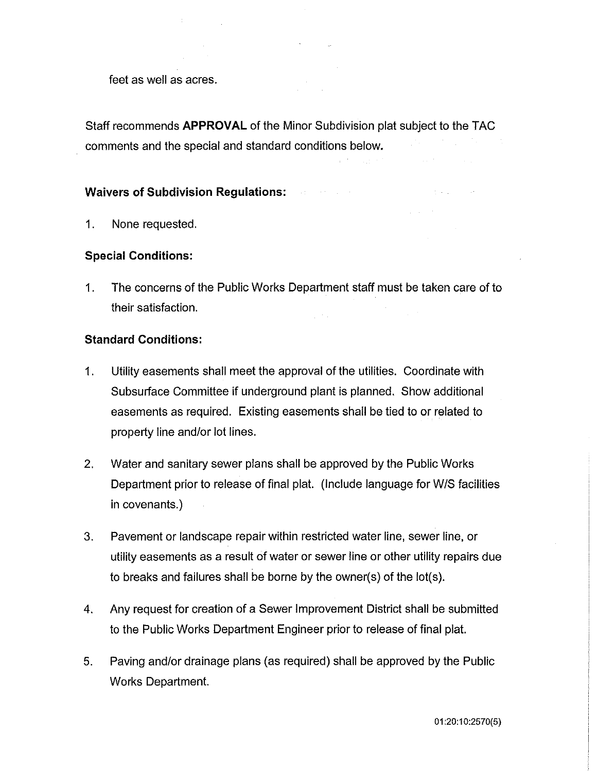feet as well as acres.

Staff recommends **APPROVAL** of the Minor Subdivision plat subject to the TAC comments and the special and standard conditions below.

## **Waivers of Subdivision Regulations:**

1. None requested.

## **Special Conditions:**

1. The concerns of the Public Works Department staff must be taken care of to their satisfaction.  $\mathcal{L}^{\text{max}}$  and  $\mathcal{L}^{\text{max}}$ 

## **Standard Conditions:**

- 1. Utility easements shall meet the approval of the utilities. Coordinate with Subsurface Committee if underground plant is planned. Show additional easements as required. Existing easements shall be tied to or related to property line and/or lot lines.
- 2. Water and sanitary sewer plans shall be approved by the Public Works Department prior to release of final plat. (Include language for W/S facilities in covenants.)
- 3. Pavement or landscape repair within restricted water line, sewer line, or utility easements as a result of water or sewer line or other utility repairs due to breaks and failures shall be borne by the owner(s) of the lot(s).
- 4. Any request for creation of a Sewer Improvement District shall be submitted to the Public Works Department Engineer prior to release of final plat.
- 5. Paving and/or drainage plans (as required) shall be approved by the Public Works Department.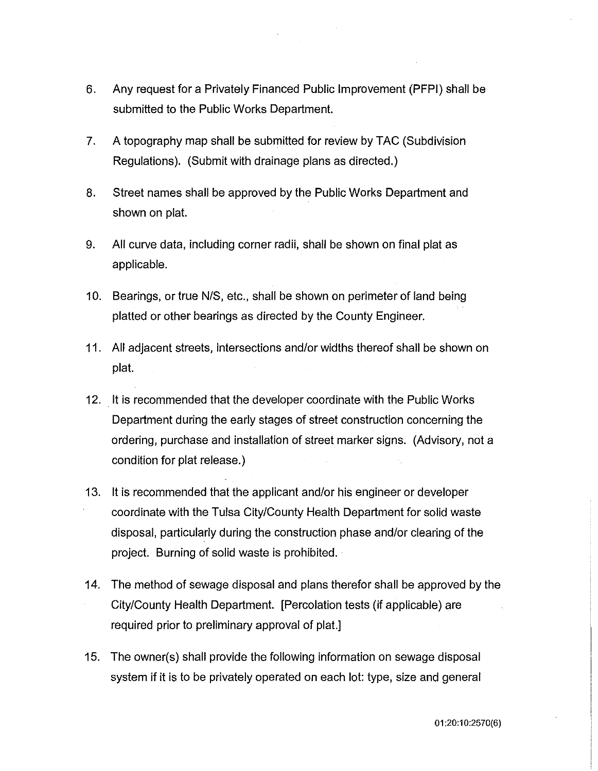- 6. Any request for a Privately Financed Public Improvement (PFPI) shall be submitted to the Public Works Department.
- 7. A topography map shall be submitted for review by TAC (Subdivision Regulations). (Submit with drainage plans as directed.)
- 8. Street names shall be approved by the Public Works Department and shown on plat.
- 9. All curve data, including corner radii, shall be shown on final plat as applicable.
- 10. Bearings, or true N/S, etc., shall be shown on perimeter of land being platted or other bearings as directed by the County Engineer.
- 11. All adjacent streets, intersections and/or widths thereof shall be shown on plat.
- 12. It is recommended that the developer coordinate with the Public Works Department during the early stages of street construction concerning the ordering, purchase and installation of street marker signs. (Advisory, not a condition for plat release.)
- 13. It is recommended that the applicant and/or his engineer or developer coordinate with the Tulsa City/County Health Department for solid waste disposal, particularly during the construction phase and/or clearing of the project. Burning of solid waste is prohibited.
- 14. The method of sewage disposal and plans therefor shall be approved by the City/County Health Department. [Percolation tests (if applicable) are required prior to preliminary approval of plat.]
- 15. The owner(s) shall provide the following information on sewage disposal system if it is to be privately operated on each lot: type, size and general

01 :20:10:2570(6)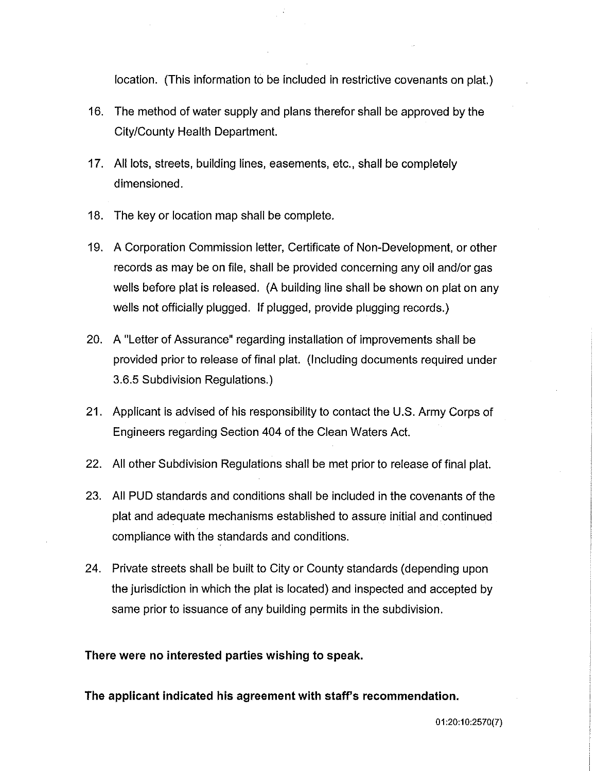location. (This information to be included in restrictive covenants on plat.)

- 16. The method of water supply and plans therefor shall be approved by the City/County Health Department.
- 17. All lots, streets, building lines, easements, etc., shall be completely dimensioned.
- 18. The key or location map shall be complete.
- 19. A Corporation Commission letter, Certificate of Non-Development, or other records as may be on file, shall be provided concerning any oil and/or gas wells before plat is released. (A building line shall be shown on plat on any wells not officially plugged. If plugged, provide plugging records.)
- 20. A "Letter of Assurance" regarding installation of improvements shall be provided prior to release of final plat. (Including documents required under 3.6.5 Subdivision Regulations.)
- 21. Applicant is advised of his responsibility to contact the U.S. Army Corps of Engineers regarding Section 404 of the Clean Waters Act.
- 22. All other Subdivision Regulations shall be met prior to release of final plat.
- 23. All PUD standards and conditions shall be included in the covenants of the plat and adequate mechanisms established to assure initial and continued compliance with the standards and conditions.
- 24. Private streets shall be built to City or County standards (depending upon the jurisdiction in which the plat is located) and inspected and accepted by same prior to issuance of any building permits in the subdivision.

**There were no interested parties wishing to speak.** 

**The applicant indicated his agreement with staff's recommendation.**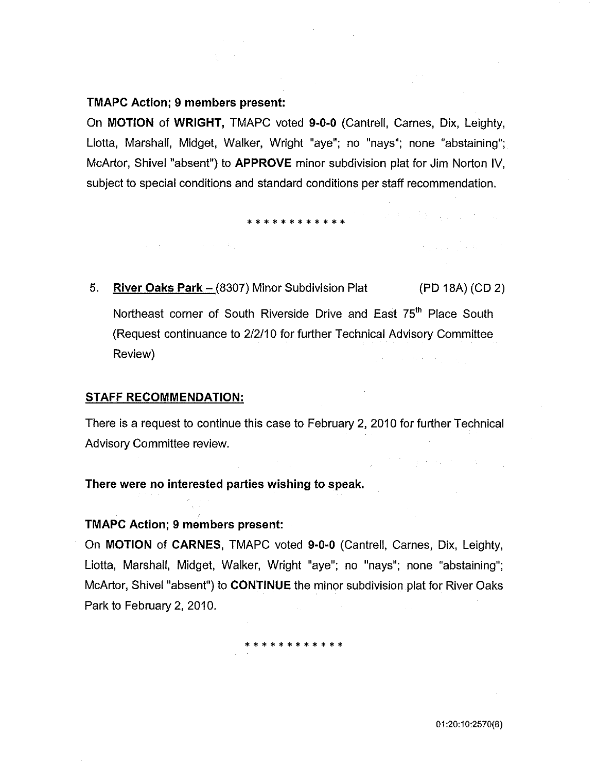## **TMAPC Action; 9 members present:**

On **MOTION of WRIGHT,** TMAPC voted **9-0-0** (Cantrell, Carnes, Dix, Leighty, Liotta, Marshall, Midget, Walker, Wright "aye"; no "nays"; none "abstaining"; McArtor, Shivel "absent") to **APPROVE** minor subdivision plat for Jim Norton IV, subject to special conditions and standard conditions per staff recommendation.

## \* \* \* \* \* \* \* \* \* \* \* \*

The control of the company of the

 $\label{eq:2.1} \left\langle \left\langle \mathbf{r}_{\mathrm{eff}}\right\rangle \right\rangle _{L}=\left\langle \left\langle \mathbf{r}_{\mathrm{eff}}\right\rangle \right\rangle _{L}=\left\langle \left\langle \mathbf{r}_{\mathrm{eff}}\right\rangle \right\rangle _{L}=\left\langle \mathbf{r}_{\mathrm{eff}}\right\rangle _{L}=\left\langle \mathbf{r}_{\mathrm{eff}}\right\rangle _{L}$ 

第四章 经财产资产

5. **River Oaks Park** - (8307) Minor Subdivision Plat (PD 18A) (CD 2) Northeast corner of South Riverside Drive and East 75<sup>th</sup> Place South (Request continuance to 2/2/10 for further Technical Advisory Committee Review)  $\mathcal{L}(\mathcal{F})$  and  $\mathcal{L}(\mathcal{F})$  is the following of the  $\mathcal{L}(\mathcal{F})$ 

### **STAFF RECOMMENDATION:**

There is a request to continue this case to February 2, 2010 for further Technical Advisory Committee review.

**There were no interested parties wishing to speak.** 

### **TMAPC Action; 9 members present:**

On **MOTION of CARNES,** TMAPC voted **9-0-0** (Cantrell, Carnes, Dix, Leighty, Liotta, Marshall, Midget, Walker, Wright "aye"; no "nays"; none "abstaining"; McArtor, Shivel "absent") to **CONTINUE** the minor subdivision plat for River Oaks Park to February 2, 2010.

\* \* \* \* \* \* \* \* \* \* \*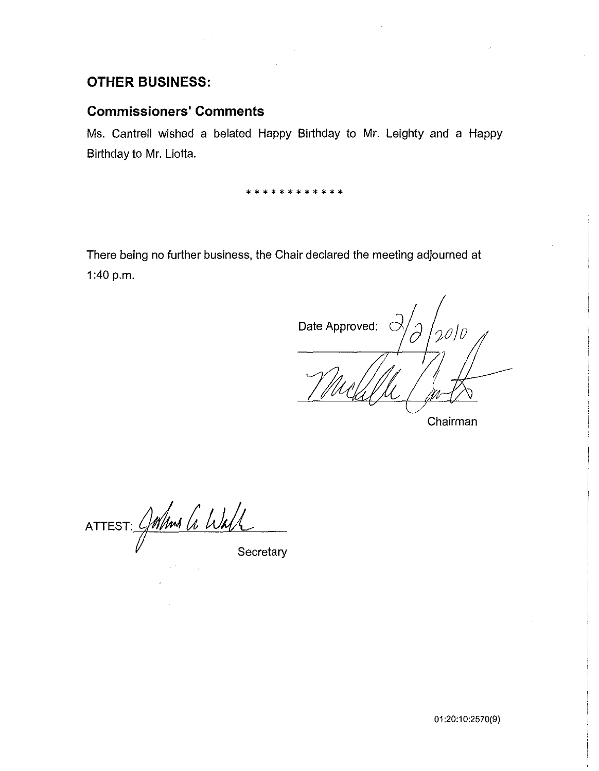# **OTHER BUSINESS:**

# **Commissioners' Comments**

Ms. Cantrell wished a belated Happy Birthday to Mr. Leighty and a Happy Birthday to Mr. Liotta.

 $\sim 10^{11}$  km

\* \* \* \* \* \* \* \* \* \* \* \*

There being no further business, the Chair declared the meeting adjourned at 1:40 p.m.

Date Approved:

Chairman

ATTEST: Comma G Wall

**Secretary** 

01 :20:1 0:2570(9)